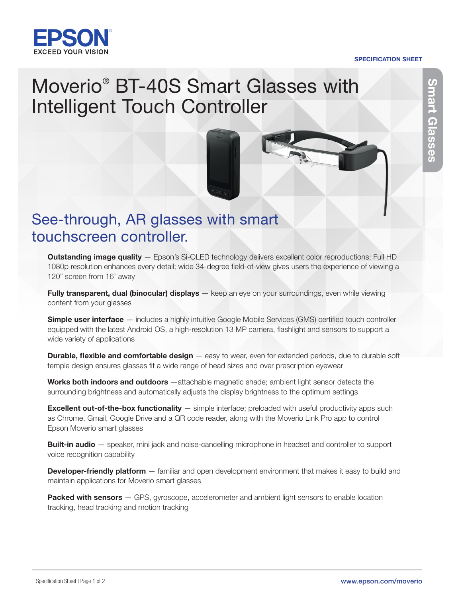

#### SPECIFICATION SHEET

# Smart Glasses Smart Glasses

## Moverio® BT-40S Smart Glasses with Intelligent Touch Controller



Outstanding image quality - Epson's Si-OLED technology delivers excellent color reproductions; Full HD 1080p resolution enhances every detail; wide 34-degree field-of-view gives users the experience of viewing a 120" screen from 16' away

Fully transparent, dual (binocular) displays - keep an eye on your surroundings, even while viewing content from your glasses

Simple user interface — includes a highly intuitive Google Mobile Services (GMS) certified touch controller equipped with the latest Android OS, a high-resolution 13 MP camera, flashlight and sensors to support a wide variety of applications

**Durable, flexible and comfortable design** — easy to wear, even for extended periods, due to durable soft temple design ensures glasses fit a wide range of head sizes and over prescription eyewear

Works both indoors and outdoors —attachable magnetic shade; ambient light sensor detects the surrounding brightness and automatically adjusts the display brightness to the optimum settings

**Excellent out-of-the-box functionality** — simple interface; preloaded with useful productivity apps such as Chrome, Gmail, Google Drive and a QR code reader, along with the Moverio Link Pro app to control Epson Moverio smart glasses

**Built-in audio** — speaker, mini jack and noise-cancelling microphone in headset and controller to support voice recognition capability

**Developer-friendly platform** — familiar and open development environment that makes it easy to build and maintain applications for Moverio smart glasses

Packed with sensors - GPS, gyroscope, accelerometer and ambient light sensors to enable location tracking, head tracking and motion tracking